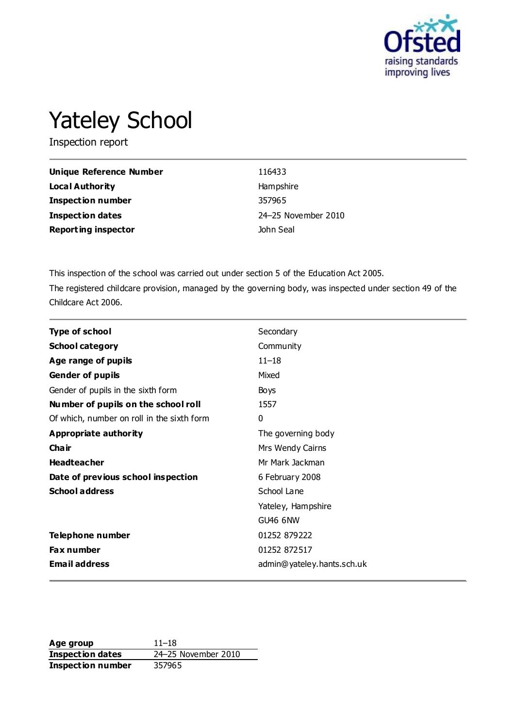

# Yateley School

Inspection report

| Unique Reference Number    | 116433              |
|----------------------------|---------------------|
| Local Authority            | Hampshire           |
| <b>Inspection number</b>   | 357965              |
| <b>Inspection dates</b>    | 24-25 November 2010 |
| <b>Reporting inspector</b> | John Seal           |

This inspection of the school was carried out under section 5 of the Education Act 2005. The registered childcare provision, managed by the governing body, was inspected under section 49 of the Childcare Act 2006.

| <b>Type of school</b>                      | Secondary                  |
|--------------------------------------------|----------------------------|
| <b>School category</b>                     | Community                  |
| Age range of pupils                        | $11 - 18$                  |
| <b>Gender of pupils</b>                    | Mixed                      |
| Gender of pupils in the sixth form         | <b>Boys</b>                |
| Number of pupils on the school roll        | 1557                       |
| Of which, number on roll in the sixth form | $\mathbf{0}$               |
| Appropriate authority                      | The governing body         |
| Cha ir                                     | Mrs Wendy Cairns           |
| <b>Headteacher</b>                         | Mr Mark Jackman            |
| Date of previous school inspection         | 6 February 2008            |
| <b>School address</b>                      | School Lane                |
|                                            | Yateley, Hampshire         |
|                                            | <b>GU46 6NW</b>            |
| Telephone number                           | 01252 879222               |
| Fax number                                 | 01252 872517               |
| <b>Email address</b>                       | admin@yateley.hants.sch.uk |

Age group 11–18 **Inspection dates** 24–25 November 2010 **Inspection number** 357965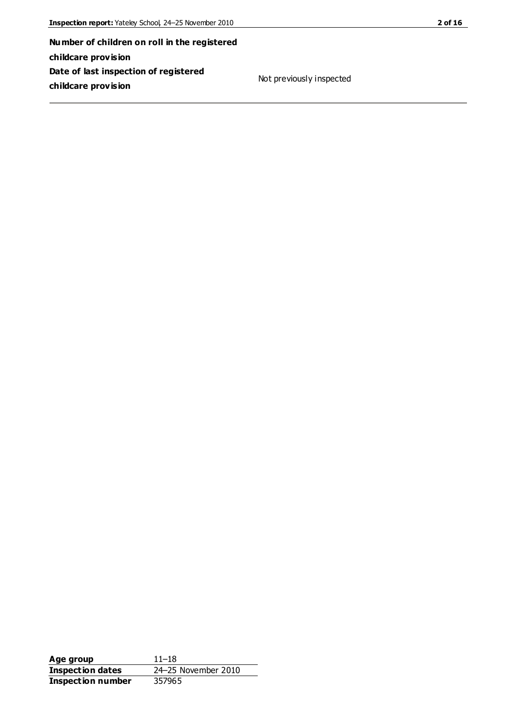**Number of children on roll in the registered childcare provision Date of last inspection of registered childcare provision**

Not previously inspected

**Age group** 11–18 **Inspection dates** 24–25 November 2010<br>**Inspection number** 357965 **Inspection number**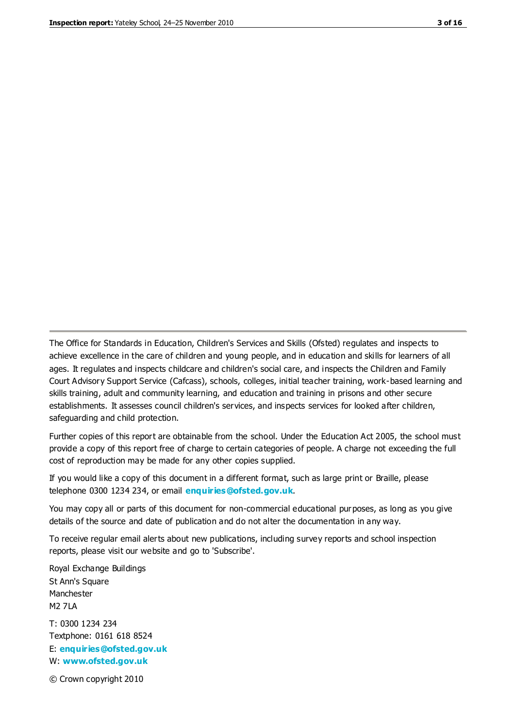The Office for Standards in Education, Children's Services and Skills (Ofsted) regulates and inspects to achieve excellence in the care of children and young people, and in education and skills for learners of all ages. It regulates and inspects childcare and children's social care, and inspects the Children and Family Court Advisory Support Service (Cafcass), schools, colleges, initial teacher training, work-based learning and skills training, adult and community learning, and education and training in prisons and other secure establishments. It assesses council children's services, and inspects services for looked after children, safeguarding and child protection.

Further copies of this report are obtainable from the school. Under the Education Act 2005, the school must provide a copy of this report free of charge to certain categories of people. A charge not exceeding the full cost of reproduction may be made for any other copies supplied.

If you would like a copy of this document in a different format, such as large print or Braille, please telephone 0300 1234 234, or email **[enquiries@ofsted.gov.uk](mailto:enquiries@ofsted.gov.uk)**.

You may copy all or parts of this document for non-commercial educational purposes, as long as you give details of the source and date of publication and do not alter the documentation in any way.

To receive regular email alerts about new publications, including survey reports and school inspection reports, please visit our website and go to 'Subscribe'.

Royal Exchange Buildings St Ann's Square Manchester M2 7LA T: 0300 1234 234 Textphone: 0161 618 8524 E: **[enquiries@ofsted.gov.uk](mailto:enquiries@ofsted.gov.uk)**

W: **[www.ofsted.gov.uk](http://www.ofsted.gov.uk/)**

© Crown copyright 2010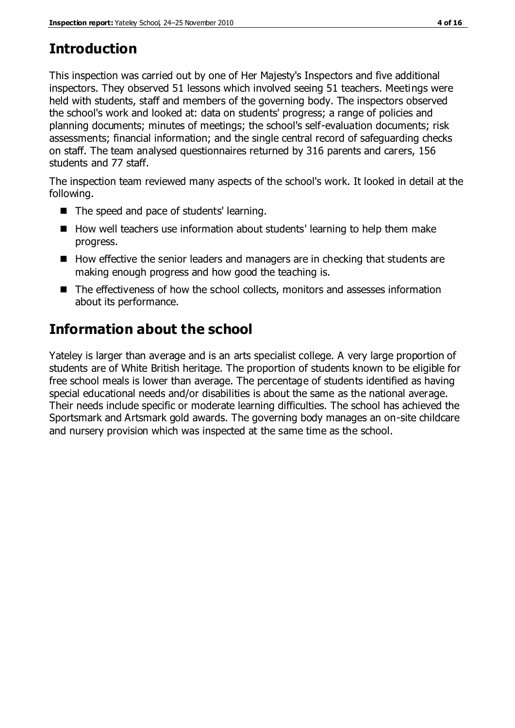# **Introduction**

This inspection was carried out by one of Her Majesty's Inspectors and five additional inspectors. They observed 51 lessons which involved seeing 51 teachers. Meetings were held with students, staff and members of the governing body. The inspectors observed the school's work and looked at: data on students' progress; a range of policies and planning documents; minutes of meetings; the school's self-evaluation documents; risk assessments; financial information; and the single central record of safeguarding checks on staff. The team analysed questionnaires returned by 316 parents and carers, 156 students and 77 staff.

The inspection team reviewed many aspects of the school's work. It looked in detail at the following.

- The speed and pace of students' learning.
- How well teachers use information about students' learning to help them make progress.
- $\blacksquare$  How effective the senior leaders and managers are in checking that students are making enough progress and how good the teaching is.
- The effectiveness of how the school collects, monitors and assesses information about its performance.

# **Information about the school**

Yateley is larger than average and is an arts specialist college. A very large proportion of students are of White British heritage. The proportion of students known to be eligible for free school meals is lower than average. The percentage of students identified as having special educational needs and/or disabilities is about the same as the national average. Their needs include specific or moderate learning difficulties. The school has achieved the Sportsmark and Artsmark gold awards. The governing body manages an on-site childcare and nursery provision which was inspected at the same time as the school.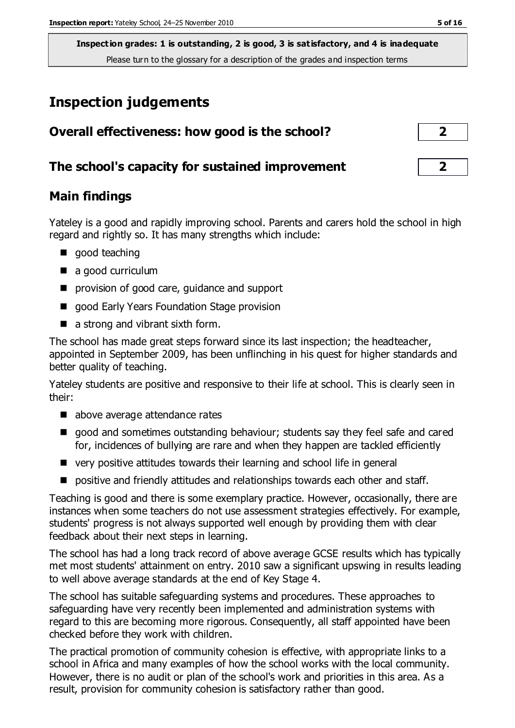# **Inspection judgements**

| Overall effectiveness: how good is the school?  | $\overline{2}$ |
|-------------------------------------------------|----------------|
| The school's capacity for sustained improvement |                |

#### **Main findings**

Yateley is a good and rapidly improving school. Parents and carers hold the school in high regard and rightly so. It has many strengths which include:

- qood teaching
- a good curriculum
- **P** provision of good care, guidance and support
- good Early Years Foundation Stage provision
- a strong and vibrant sixth form.

The school has made great steps forward since its last inspection; the headteacher, appointed in September 2009, has been unflinching in his quest for higher standards and better quality of teaching.

Yateley students are positive and responsive to their life at school. This is clearly seen in their:

- above average attendance rates
- good and sometimes outstanding behaviour; students say they feel safe and cared for, incidences of bullying are rare and when they happen are tackled efficiently
- very positive attitudes towards their learning and school life in general
- **P** positive and friendly attitudes and relationships towards each other and staff.

Teaching is good and there is some exemplary practice. However, occasionally, there are instances when some teachers do not use assessment strategies effectively. For example, students' progress is not always supported well enough by providing them with clear feedback about their next steps in learning.

The school has had a long track record of above average GCSE results which has typically met most students' attainment on entry. 2010 saw a significant upswing in results leading to well above average standards at the end of Key Stage 4.

The school has suitable safeguarding systems and procedures. These approaches to safeguarding have very recently been implemented and administration systems with regard to this are becoming more rigorous. Consequently, all staff appointed have been checked before they work with children.

The practical promotion of community cohesion is effective, with appropriate links to a school in Africa and many examples of how the school works with the local community. However, there is no audit or plan of the school's work and priorities in this area. As a result, provision for community cohesion is satisfactory rather than good.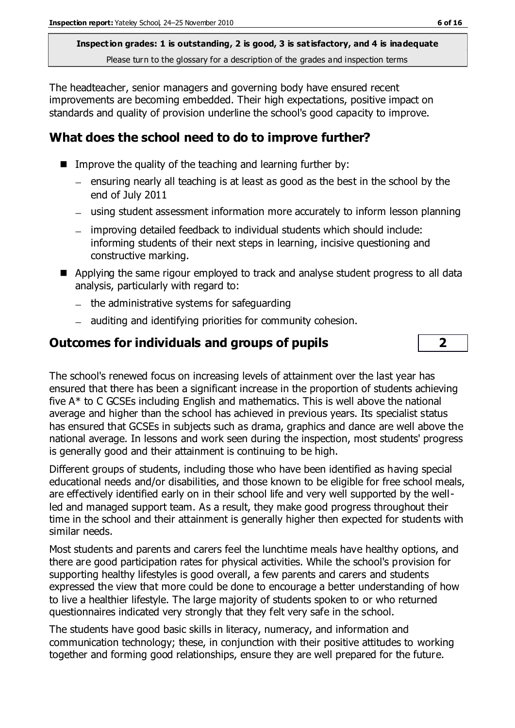The headteacher, senior managers and governing body have ensured recent improvements are becoming embedded. Their high expectations, positive impact on standards and quality of provision underline the school's good capacity to improve.

## **What does the school need to do to improve further?**

- Improve the quality of the teaching and learning further by:
	- $-$  ensuring nearly all teaching is at least as good as the best in the school by the end of July 2011
	- using student assessment information more accurately to inform lesson planning
	- improving detailed feedback to individual students which should include: informing students of their next steps in learning, incisive questioning and constructive marking.
- Applying the same rigour employed to track and analyse student progress to all data analysis, particularly with regard to:
	- $-$  the administrative systems for safeguarding
	- auditing and identifying priorities for community cohesion.

### **Outcomes for individuals and groups of pupils 2**

The school's renewed focus on increasing levels of attainment over the last year has ensured that there has been a significant increase in the proportion of students achieving five A\* to C GCSEs including English and mathematics. This is well above the national average and higher than the school has achieved in previous years. Its specialist status has ensured that GCSEs in subjects such as drama, graphics and dance are well above the national average. In lessons and work seen during the inspection, most students' progress is generally good and their attainment is continuing to be high.

Different groups of students, including those who have been identified as having special educational needs and/or disabilities, and those known to be eligible for free school meals, are effectively identified early on in their school life and very well supported by the wellled and managed support team. As a result, they make good progress throughout their time in the school and their attainment is generally higher then expected for students with similar needs.

Most students and parents and carers feel the lunchtime meals have healthy options, and there are good participation rates for physical activities. While the school's provision for supporting healthy lifestyles is good overall, a few parents and carers and students expressed the view that more could be done to encourage a better understanding of how to live a healthier lifestyle. The large majority of students spoken to or who returned questionnaires indicated very strongly that they felt very safe in the school.

The students have good basic skills in literacy, numeracy, and information and communication technology; these, in conjunction with their positive attitudes to working together and forming good relationships, ensure they are well prepared for the future.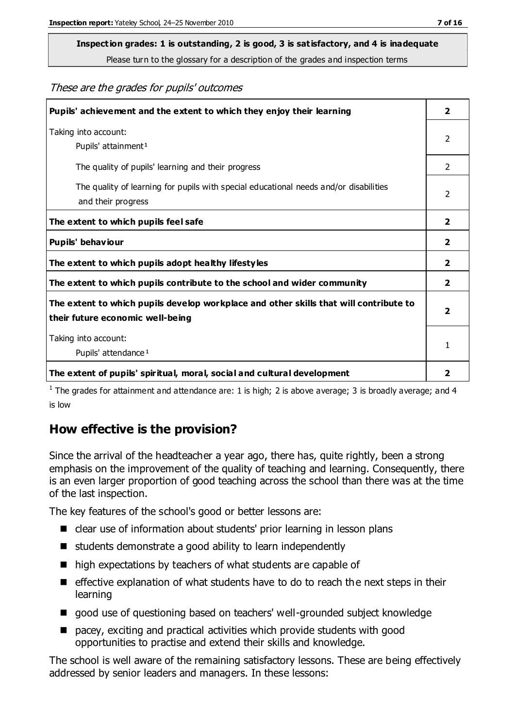# **Inspection grades: 1 is outstanding, 2 is good, 3 is satisfactory, and 4 is inadequate**

Please turn to the glossary for a description of the grades and inspection terms

#### These are the grades for pupils' outcomes

| Pupils' achievement and the extent to which they enjoy their learning                                                     | 2                       |
|---------------------------------------------------------------------------------------------------------------------------|-------------------------|
| Taking into account:<br>Pupils' attainment <sup>1</sup>                                                                   | 2                       |
| The quality of pupils' learning and their progress                                                                        | $\mathcal{P}$           |
| The quality of learning for pupils with special educational needs and/or disabilities<br>and their progress               | 2                       |
| The extent to which pupils feel safe                                                                                      | $\overline{\mathbf{2}}$ |
| Pupils' behaviour                                                                                                         | 2                       |
| The extent to which pupils adopt healthy lifestyles                                                                       | 2                       |
| The extent to which pupils contribute to the school and wider community                                                   | $\overline{2}$          |
| The extent to which pupils develop workplace and other skills that will contribute to<br>their future economic well-being | $\overline{\mathbf{2}}$ |
| Taking into account:<br>Pupils' attendance <sup>1</sup>                                                                   | 1                       |
| The extent of pupils' spiritual, moral, social and cultural development                                                   | $\overline{\mathbf{2}}$ |

<sup>1</sup> The grades for attainment and attendance are: 1 is high; 2 is above average; 3 is broadly average; and 4 is low

# **How effective is the provision?**

Since the arrival of the headteacher a year ago, there has, quite rightly, been a strong emphasis on the improvement of the quality of teaching and learning. Consequently, there is an even larger proportion of good teaching across the school than there was at the time of the last inspection.

The key features of the school's good or better lessons are:

- clear use of information about students' prior learning in lesson plans
- students demonstrate a good ability to learn independently
- high expectations by teachers of what students are capable of
- $\blacksquare$  effective explanation of what students have to do to reach the next steps in their learning
- good use of questioning based on teachers' well-grounded subject knowledge
- pacey, exciting and practical activities which provide students with good opportunities to practise and extend their skills and knowledge.

The school is well aware of the remaining satisfactory lessons. These are being effectively addressed by senior leaders and managers. In these lessons: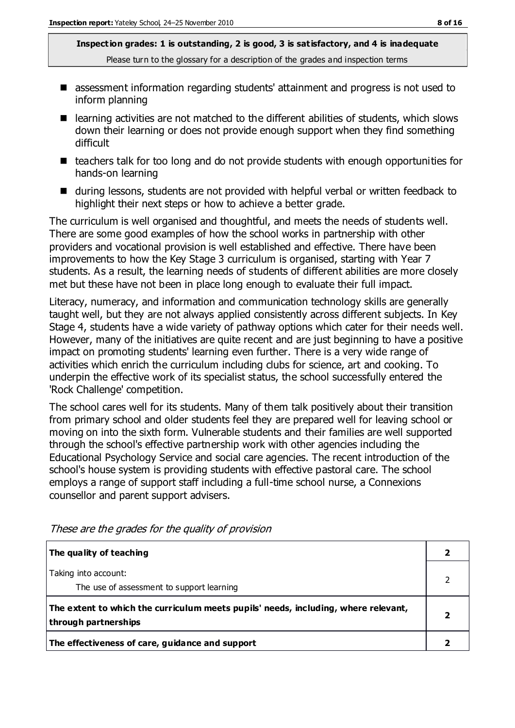- assessment information regarding students' attainment and progress is not used to inform planning
- learning activities are not matched to the different abilities of students, which slows down their learning or does not provide enough support when they find something difficult
- $\blacksquare$  teachers talk for too long and do not provide students with enough opportunities for hands-on learning
- during lessons, students are not provided with helpful verbal or written feedback to highlight their next steps or how to achieve a better grade.

The curriculum is well organised and thoughtful, and meets the needs of students well. There are some good examples of how the school works in partnership with other providers and vocational provision is well established and effective. There have been improvements to how the Key Stage 3 curriculum is organised, starting with Year 7 students. As a result, the learning needs of students of different abilities are more closely met but these have not been in place long enough to evaluate their full impact.

Literacy, numeracy, and information and communication technology skills are generally taught well, but they are not always applied consistently across different subjects. In Key Stage 4, students have a wide variety of pathway options which cater for their needs well. However, many of the initiatives are quite recent and are just beginning to have a positive impact on promoting students' learning even further. There is a very wide range of activities which enrich the curriculum including clubs for science, art and cooking. To underpin the effective work of its specialist status, the school successfully entered the 'Rock Challenge' competition.

The school cares well for its students. Many of them talk positively about their transition from primary school and older students feel they are prepared well for leaving school or moving on into the sixth form. Vulnerable students and their families are well supported through the school's effective partnership work with other agencies including the Educational Psychology Service and social care agencies. The recent introduction of the school's house system is providing students with effective pastoral care. The school employs a range of support staff including a full-time school nurse, a Connexions counsellor and parent support advisers.

| The quality of teaching                                                                                    |  |
|------------------------------------------------------------------------------------------------------------|--|
| Taking into account:<br>The use of assessment to support learning                                          |  |
| The extent to which the curriculum meets pupils' needs, including, where relevant,<br>through partnerships |  |
| The effectiveness of care, guidance and support                                                            |  |

These are the grades for the quality of provision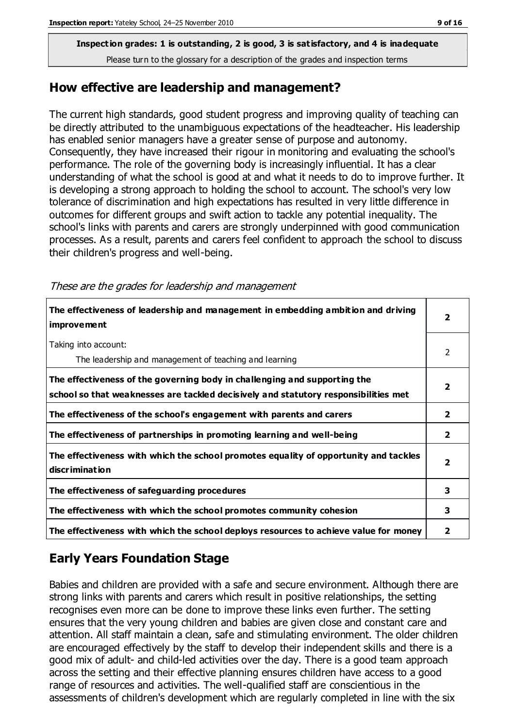**Inspection grades: 1 is outstanding, 2 is good, 3 is satisfactory, and 4 is inadequate**

Please turn to the glossary for a description of the grades and inspection terms

#### **How effective are leadership and management?**

The current high standards, good student progress and improving quality of teaching can be directly attributed to the unambiguous expectations of the headteacher. His leadership has enabled senior managers have a greater sense of purpose and autonomy. Consequently, they have increased their rigour in monitoring and evaluating the school's performance. The role of the governing body is increasingly influential. It has a clear understanding of what the school is good at and what it needs to do to improve further. It is developing a strong approach to holding the school to account. The school's very low tolerance of discrimination and high expectations has resulted in very little difference in outcomes for different groups and swift action to tackle any potential inequality. The school's links with parents and carers are strongly underpinned with good communication processes. As a result, parents and carers feel confident to approach the school to discuss their children's progress and well-being.

These are the grades for leadership and management

| The effectiveness of leadership and management in embedding ambition and driving<br>improvement                                                                  | $\overline{2}$          |
|------------------------------------------------------------------------------------------------------------------------------------------------------------------|-------------------------|
| Taking into account:<br>The leadership and management of teaching and learning                                                                                   | 2                       |
| The effectiveness of the governing body in challenging and supporting the<br>school so that weaknesses are tackled decisively and statutory responsibilities met | $\overline{\mathbf{2}}$ |
| The effectiveness of the school's engagement with parents and carers                                                                                             | $\mathbf{2}$            |
| The effectiveness of partnerships in promoting learning and well-being                                                                                           | $\mathbf{2}$            |
| The effectiveness with which the school promotes equality of opportunity and tackles<br>discrimination                                                           | $\overline{\mathbf{2}}$ |
| The effectiveness of safeguarding procedures                                                                                                                     | 3                       |
| The effectiveness with which the school promotes community cohesion                                                                                              | 3                       |
| The effectiveness with which the school deploys resources to achieve value for money                                                                             | 2                       |

# **Early Years Foundation Stage**

Babies and children are provided with a safe and secure environment. Although there are strong links with parents and carers which result in positive relationships, the setting recognises even more can be done to improve these links even further. The setting ensures that the very young children and babies are given close and constant care and attention. All staff maintain a clean, safe and stimulating environment. The older children are encouraged effectively by the staff to develop their independent skills and there is a good mix of adult- and child-led activities over the day. There is a good team approach across the setting and their effective planning ensures children have access to a good range of resources and activities. The well-qualified staff are conscientious in the assessments of children's development which are regularly completed in line with the six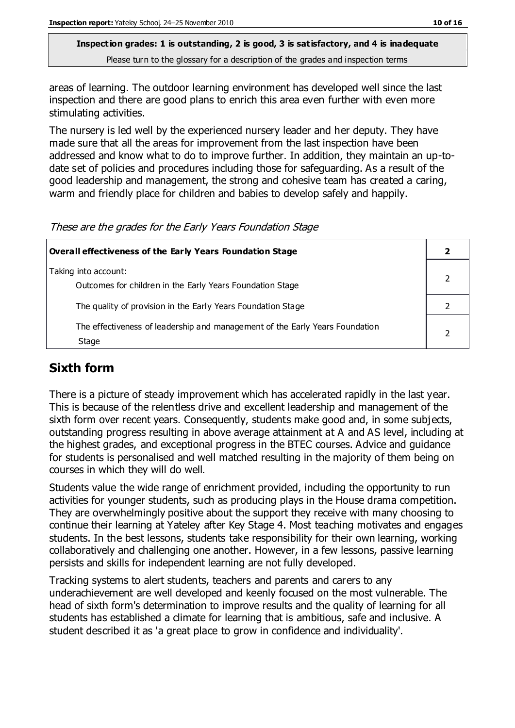areas of learning. The outdoor learning environment has developed well since the last inspection and there are good plans to enrich this area even further with even more stimulating activities.

The nursery is led well by the experienced nursery leader and her deputy. They have made sure that all the areas for improvement from the last inspection have been addressed and know what to do to improve further. In addition, they maintain an up-todate set of policies and procedures including those for safeguarding. As a result of the good leadership and management, the strong and cohesive team has created a caring, warm and friendly place for children and babies to develop safely and happily.

These are the grades for the Early Years Foundation Stage

| Overall effectiveness of the Early Years Foundation Stage                             |  |
|---------------------------------------------------------------------------------------|--|
| Taking into account:<br>Outcomes for children in the Early Years Foundation Stage     |  |
| The quality of provision in the Early Years Foundation Stage                          |  |
| The effectiveness of leadership and management of the Early Years Foundation<br>Stage |  |

# **Sixth form**

There is a picture of steady improvement which has accelerated rapidly in the last year. This is because of the relentless drive and excellent leadership and management of the sixth form over recent years. Consequently, students make good and, in some subjects, outstanding progress resulting in above average attainment at A and AS level, including at the highest grades, and exceptional progress in the BTEC courses. Advice and guidance for students is personalised and well matched resulting in the majority of them being on courses in which they will do well.

Students value the wide range of enrichment provided, including the opportunity to run activities for younger students, such as producing plays in the House drama competition. They are overwhelmingly positive about the support they receive with many choosing to continue their learning at Yateley after Key Stage 4. Most teaching motivates and engages students. In the best lessons, students take responsibility for their own learning, working collaboratively and challenging one another. However, in a few lessons, passive learning persists and skills for independent learning are not fully developed.

Tracking systems to alert students, teachers and parents and carers to any underachievement are well developed and keenly focused on the most vulnerable. The head of sixth form's determination to improve results and the quality of learning for all students has established a climate for learning that is ambitious, safe and inclusive. A student described it as 'a great place to grow in confidence and individuality'.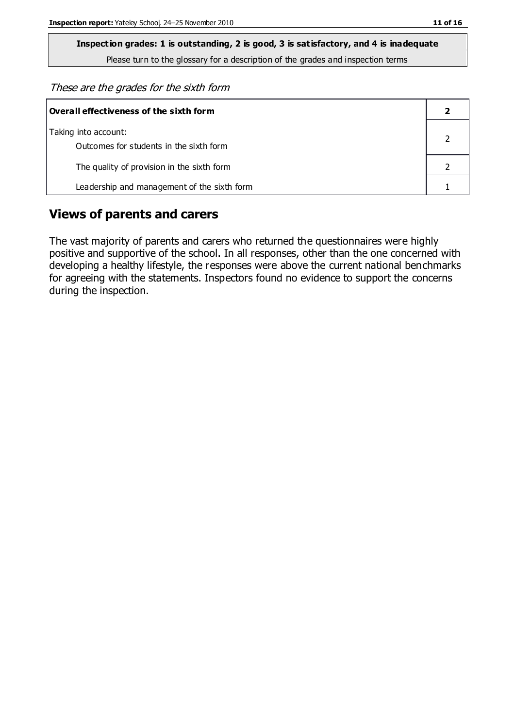These are the grades for the sixth form

| Overall effectiveness of the sixth form                         |  |  |
|-----------------------------------------------------------------|--|--|
| Taking into account:<br>Outcomes for students in the sixth form |  |  |
| The quality of provision in the sixth form                      |  |  |
| Leadership and management of the sixth form                     |  |  |

#### **Views of parents and carers**

The vast majority of parents and carers who returned the questionnaires were highly positive and supportive of the school. In all responses, other than the one concerned with developing a healthy lifestyle, the responses were above the current national benchmarks for agreeing with the statements. Inspectors found no evidence to support the concerns during the inspection.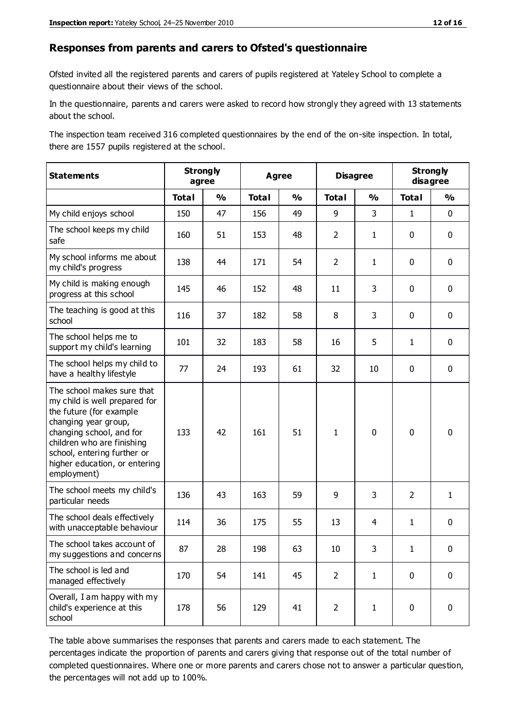#### **Responses from parents and carers to Ofsted's questionnaire**

Ofsted invited all the registered parents and carers of pupils registered at Yateley School to complete a questionnaire about their views of the school.

In the questionnaire, parents and carers were asked to record how strongly they agreed with 13 statements about the school.

The inspection team received 316 completed questionnaires by the end of the on-site inspection. In total, there are 1557 pupils registered at the school.

| <b>Statements</b>                                                                                                                                                                                                                                       | <b>Strongly</b><br>agree |               | <b>Agree</b> |               |                | <b>Disagree</b> |                | <b>Strongly</b><br>disagree |  |
|---------------------------------------------------------------------------------------------------------------------------------------------------------------------------------------------------------------------------------------------------------|--------------------------|---------------|--------------|---------------|----------------|-----------------|----------------|-----------------------------|--|
|                                                                                                                                                                                                                                                         | <b>Total</b>             | $\frac{1}{2}$ | <b>Total</b> | $\frac{1}{2}$ | <b>Total</b>   | $\frac{1}{2}$   | <b>Total</b>   | $\frac{1}{2}$               |  |
| My child enjoys school                                                                                                                                                                                                                                  | 150                      | 47            | 156          | 49            | 9              | 3               | $\mathbf{1}$   | $\mathbf 0$                 |  |
| The school keeps my child<br>safe                                                                                                                                                                                                                       | 160                      | 51            | 153          | 48            | $\overline{2}$ | $\mathbf{1}$    | $\mathbf 0$    | $\mathbf 0$                 |  |
| My school informs me about<br>my child's progress                                                                                                                                                                                                       | 138                      | 44            | 171          | 54            | $\overline{2}$ | $\mathbf{1}$    | $\mathbf 0$    | $\mathbf 0$                 |  |
| My child is making enough<br>progress at this school                                                                                                                                                                                                    | 145                      | 46            | 152          | 48            | 11             | 3               | $\mathbf 0$    | $\mathbf 0$                 |  |
| The teaching is good at this<br>school                                                                                                                                                                                                                  | 116                      | 37            | 182          | 58            | 8              | 3               | $\mathbf 0$    | $\mathbf 0$                 |  |
| The school helps me to<br>support my child's learning                                                                                                                                                                                                   | 101                      | 32            | 183          | 58            | 16             | 5               | $\mathbf{1}$   | $\mathbf 0$                 |  |
| The school helps my child to<br>have a healthy lifestyle                                                                                                                                                                                                | 77                       | 24            | 193          | 61            | 32             | 10              | $\mathbf 0$    | $\mathbf 0$                 |  |
| The school makes sure that<br>my child is well prepared for<br>the future (for example<br>changing year group,<br>changing school, and for<br>children who are finishing<br>school, entering further or<br>higher education, or entering<br>employment) | 133                      | 42            | 161          | 51            | $\mathbf{1}$   | $\mathbf 0$     | $\mathbf 0$    | $\mathbf 0$                 |  |
| The school meets my child's<br>particular needs                                                                                                                                                                                                         | 136                      | 43            | 163          | 59            | 9              | 3               | $\overline{2}$ | $\mathbf{1}$                |  |
| The school deals effectively<br>with unacceptable behaviour                                                                                                                                                                                             | 114                      | 36            | 175          | 55            | 13             | $\overline{4}$  | $\mathbf{1}$   | $\pmb{0}$                   |  |
| The school takes account of<br>my suggestions and concerns                                                                                                                                                                                              | 87                       | 28            | 198          | 63            | 10             | 3               | 1              | 0                           |  |
| The school is led and<br>managed effectively                                                                                                                                                                                                            | 170                      | 54            | 141          | 45            | $\overline{2}$ | $\mathbf{1}$    | $\mathbf 0$    | $\mathbf 0$                 |  |
| Overall, I am happy with my<br>child's experience at this<br>school                                                                                                                                                                                     | 178                      | 56            | 129          | 41            | $\overline{2}$ | $\mathbf{1}$    | $\mathbf 0$    | $\mathbf 0$                 |  |

The table above summarises the responses that parents and carers made to each statement. The percentages indicate the proportion of parents and carers giving that response out of the total number of completed questionnaires. Where one or more parents and carers chose not to answer a particular question, the percentages will not add up to 100%.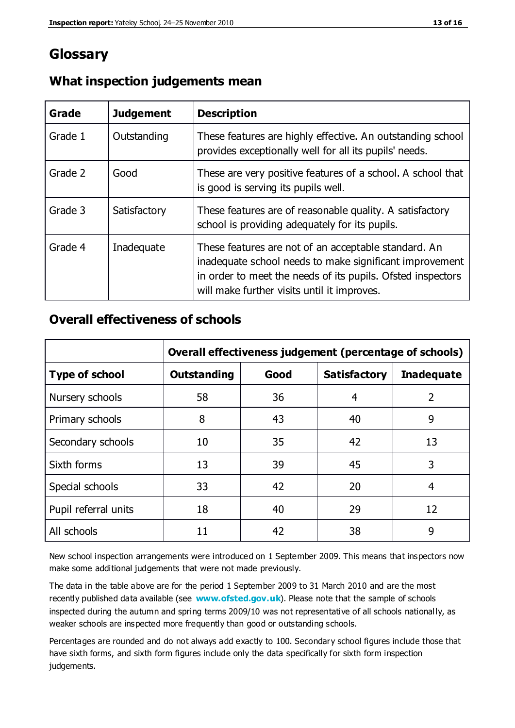# **Glossary**

| Grade   | <b>Judgement</b> | <b>Description</b>                                                                                                                                                                                                            |
|---------|------------------|-------------------------------------------------------------------------------------------------------------------------------------------------------------------------------------------------------------------------------|
| Grade 1 | Outstanding      | These features are highly effective. An outstanding school<br>provides exceptionally well for all its pupils' needs.                                                                                                          |
| Grade 2 | Good             | These are very positive features of a school. A school that<br>is good is serving its pupils well.                                                                                                                            |
| Grade 3 | Satisfactory     | These features are of reasonable quality. A satisfactory<br>school is providing adequately for its pupils.                                                                                                                    |
| Grade 4 | Inadequate       | These features are not of an acceptable standard. An<br>inadequate school needs to make significant improvement<br>in order to meet the needs of its pupils. Ofsted inspectors<br>will make further visits until it improves. |

#### **What inspection judgements mean**

#### **Overall effectiveness of schools**

|                       | Overall effectiveness judgement (percentage of schools) |      |                     |                   |
|-----------------------|---------------------------------------------------------|------|---------------------|-------------------|
| <b>Type of school</b> | <b>Outstanding</b>                                      | Good | <b>Satisfactory</b> | <b>Inadequate</b> |
| Nursery schools       | 58                                                      | 36   | 4                   | 2                 |
| Primary schools       | 8                                                       | 43   | 40                  | 9                 |
| Secondary schools     | 10                                                      | 35   | 42                  | 13                |
| Sixth forms           | 13                                                      | 39   | 45                  | 3                 |
| Special schools       | 33                                                      | 42   | 20                  | 4                 |
| Pupil referral units  | 18                                                      | 40   | 29                  | 12                |
| All schools           | 11                                                      | 42   | 38                  | 9                 |

New school inspection arrangements were introduced on 1 September 2009. This means that inspectors now make some additional judgements that were not made previously.

The data in the table above are for the period 1 September 2009 to 31 March 2010 and are the most recently published data available (see **[www.ofsted.gov.uk](http://www.ofsted.gov.uk/)**). Please note that the sample of schools inspected during the autumn and spring terms 2009/10 was not representative of all schools nationally, as weaker schools are inspected more frequently than good or outstanding schools.

Percentages are rounded and do not always add exactly to 100. Secondary school figures include those that have sixth forms, and sixth form figures include only the data specifically for sixth form inspection judgements.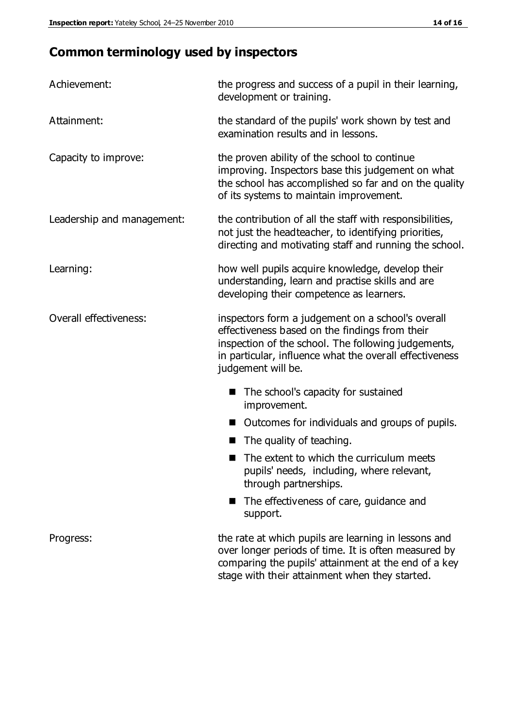# **Common terminology used by inspectors**

| Achievement:               | the progress and success of a pupil in their learning,<br>development or training.                                                                                                                                                          |  |  |
|----------------------------|---------------------------------------------------------------------------------------------------------------------------------------------------------------------------------------------------------------------------------------------|--|--|
| Attainment:                | the standard of the pupils' work shown by test and<br>examination results and in lessons.                                                                                                                                                   |  |  |
| Capacity to improve:       | the proven ability of the school to continue<br>improving. Inspectors base this judgement on what<br>the school has accomplished so far and on the quality<br>of its systems to maintain improvement.                                       |  |  |
| Leadership and management: | the contribution of all the staff with responsibilities,<br>not just the headteacher, to identifying priorities,<br>directing and motivating staff and running the school.                                                                  |  |  |
| Learning:                  | how well pupils acquire knowledge, develop their<br>understanding, learn and practise skills and are<br>developing their competence as learners.                                                                                            |  |  |
| Overall effectiveness:     | inspectors form a judgement on a school's overall<br>effectiveness based on the findings from their<br>inspection of the school. The following judgements,<br>in particular, influence what the overall effectiveness<br>judgement will be. |  |  |
|                            | The school's capacity for sustained<br>improvement.                                                                                                                                                                                         |  |  |
|                            | Outcomes for individuals and groups of pupils.                                                                                                                                                                                              |  |  |
|                            | The quality of teaching.                                                                                                                                                                                                                    |  |  |
|                            | The extent to which the curriculum meets<br>pupils' needs, including, where relevant,<br>through partnerships.                                                                                                                              |  |  |
|                            | The effectiveness of care, guidance and<br>support.                                                                                                                                                                                         |  |  |
| Progress:                  | the rate at which pupils are learning in lessons and<br>over longer periods of time. It is often measured by<br>comparing the pupils' attainment at the end of a key                                                                        |  |  |

stage with their attainment when they started.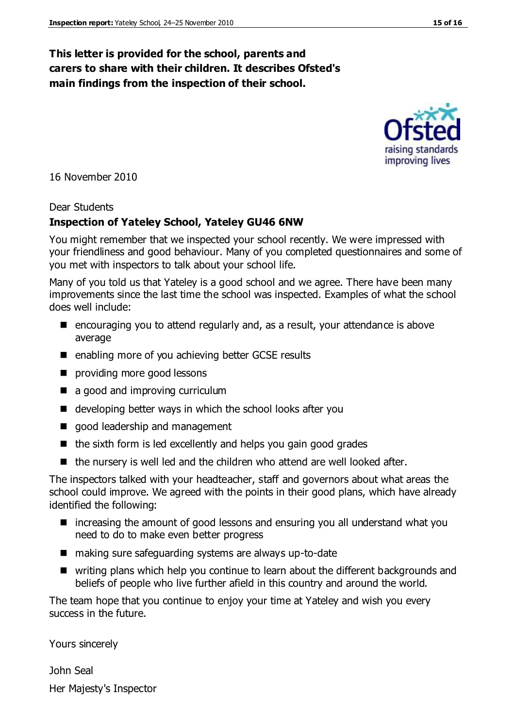#### **This letter is provided for the school, parents and carers to share with their children. It describes Ofsted's main findings from the inspection of their school.**

16 November 2010

#### Dear Students

#### **Inspection of Yateley School, Yateley GU46 6NW**

You might remember that we inspected your school recently. We were impressed with your friendliness and good behaviour. Many of you completed questionnaires and some of you met with inspectors to talk about your school life.

Many of you told us that Yateley is a good school and we agree. There have been many improvements since the last time the school was inspected. Examples of what the school does well include:

- encouraging you to attend regularly and, as a result, your attendance is above average
- enabling more of you achieving better GCSE results
- **providing more good lessons**
- a good and improving curriculum
- developing better ways in which the school looks after you
- good leadership and management
- $\blacksquare$  the sixth form is led excellently and helps you gain good grades
- $\blacksquare$  the nursery is well led and the children who attend are well looked after.

The inspectors talked with your headteacher, staff and governors about what areas the school could improve. We agreed with the points in their good plans, which have already identified the following:

- increasing the amount of good lessons and ensuring you all understand what you need to do to make even better progress
- making sure safeguarding systems are always up-to-date
- writing plans which help you continue to learn about the different backgrounds and beliefs of people who live further afield in this country and around the world.

The team hope that you continue to enjoy your time at Yateley and wish you every success in the future.

Yours sincerely

John Seal Her Majesty's Inspector